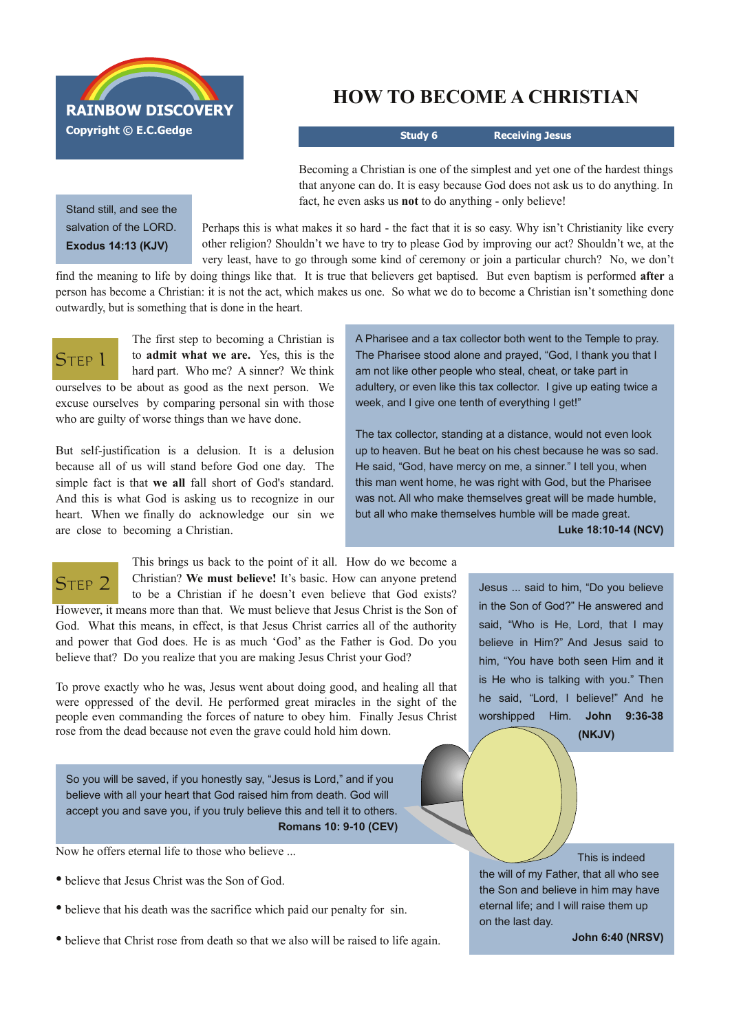

Stand still, and see the salvation of the LORD. **Exodus 14:13 (KJV)**

## **HOW TO BECOME A CHRISTIAN**

**Study 6 Receiving Jesus**

Becoming a Christian is one of the simplest and yet one of the hardest things that anyone can do. It is easy because God does not ask us to do anything. In fact, he even asks us **not** to do anything - only believe!

Perhaps this is what makes it so hard - the fact that it is so easy. Why isn't Christianity like every other religion? Shouldn't we have to try to please God by improving our act? Shouldn't we, at the very least, have to go through some kind of ceremony or join a particular church? No, we don't

find the meaning to life by doing things like that. It is true that believers get baptised. But even baptism is performed **after** a person has become a Christian: it is not the act, which makes us one. So what we do to become a Christian isn't something done outwardly, but is something that is done in the heart.

ST<sub>FP</sub> 1

The first step to becoming a Christian is to **admit what we are.** Yes, this is the hard part. Who me? A sinner? We think ourselves to be about as good as the next person. We

excuse ourselves by comparing personal sin with those who are guilty of worse things than we have done.

But self-justification is a delusion. It is a delusion because all of us will stand before God one day. The simple fact is that **we all** fall short of God's standard. And this is what God is asking us to recognize in our heart. When we finally do acknowledge our sin we are close to becoming a Christian.

A Pharisee and a tax collector both went to the Temple to pray. The Pharisee stood alone and prayed, "God, I thank you that I am not like other people who steal, cheat, or take part in adultery, or even like this tax collector. I give up eating twice a week, and I give one tenth of everything I get!"

The tax collector, standing at a distance, would not even look up to heaven. But he beat on his chest because he was so sad. He said, "God, have mercy on me, a sinner." I tell you, when this man went home, he was right with God, but the Pharisee was not. All who make themselves great will be made humble, but all who make themselves humble will be made great.

**Luke 18:10-14 (NCV)** 



This brings us back to the point of it all. How do we become a Christian? **We must believe!** It's basic. How can anyone pretend to be a Christian if he doesn't even believe that God exists? However, it means more than that. We must believe that Jesus Christ is the Son of God. What this means, in effect, is that Jesus Christ carries all of the authority

and power that God does. He is as much 'God' as the Father is God. Do you believe that? Do you realize that you are making Jesus Christ your God?

To prove exactly who he was, Jesus went about doing good, and healing all that were oppressed of the devil. He performed great miracles in the sight of the people even commanding the forces of nature to obey him. Finally Jesus Christ rose from the dead because not even the grave could hold him down.

So you will be saved, if you honestly say, "Jesus is Lord," and if you believe with all your heart that God raised him from death. God will accept you and save you, if you truly believe this and tell it to others. **Romans 10: 9-10** (CEV)

Now he offers eternal life to those who believe ...

- believe that Jesus Christ was the Son of God.
- believe that his death was the sacrifice which paid our penalty for sin.
- believe that Christ rose from death so that we also will be raised to life again.

Jesus ... said to him, "Do you believe in the Son of God?" He answered and said, "Who is He, Lord, that I may believe in Him?" And Jesus said to him, "You have both seen Him and it is He who is talking with you." Then he said, "Lord, I believe!" And he worshipped Him. **John 9:36-38** 

**(NKJV)**

This is indeed the will of my Father, that all who see the Son and believe in him may have eternal life; and I will raise them up on the last day.

**John 6:40 (NRSV)**